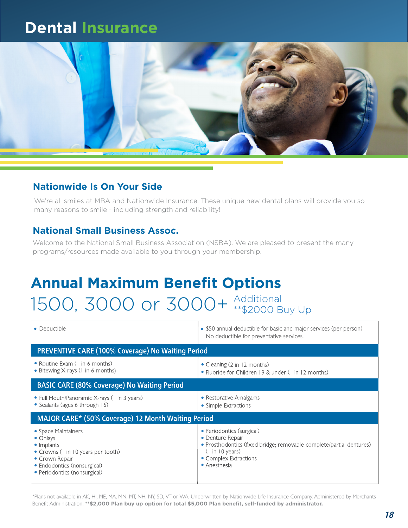### **Dental Insurance**



#### **Nationwide Is On Your Side**

We're all smiles at MBA and Nationwide Insurance. These unique new dental plans will provide you so many reasons to smile - including strength and reliability!

#### **National Small Business Assoc.**

Welcome to the National Small Business Association (NSBA). We are pleased to present the many programs/resources made available to you through your membership.

# **Annual Maximum Benefit Options** 1500, 3000 or 3000+ Additional Up

| • Deductible                                                                                                                                                                 | • \$50 annual deductible for basic and major services (per person)<br>No deductible for preventative services.                                                                    |  |
|------------------------------------------------------------------------------------------------------------------------------------------------------------------------------|-----------------------------------------------------------------------------------------------------------------------------------------------------------------------------------|--|
| <b>PREVENTIVE CARE (100% Coverage) No Waiting Period</b>                                                                                                                     |                                                                                                                                                                                   |  |
| • Routine Exam (I in 6 months)<br>• Bitewing X-rays (1 in 6 months)                                                                                                          | • Cleaning (2 in 12 months)<br>• Fluoride for Children 19 & under (1 in 12 months)                                                                                                |  |
| <b>BASIC CARE (80% Coverage) No Waiting Period</b>                                                                                                                           |                                                                                                                                                                                   |  |
| • Full Mouth/Panoramic X-rays (1 in 3 years)<br>• Sealants (ages 6 through 16)                                                                                               | • Restorative Amalgams<br>• Simple Extractions                                                                                                                                    |  |
| MAJOR CARE* (50% Coverage) 12 Month Waiting Period                                                                                                                           |                                                                                                                                                                                   |  |
| • Space Maintainers<br>$\bullet$ Onlays<br>• Implants<br>• Crowns (I in 10 years per tooth)<br>• Crown Repair<br>• Endodontics (nonsurgical)<br>• Periodontics (nonsurgical) | • Periodontics (surgical)<br>• Denture Repair<br>· Prosthodontics (fixed bridge; removable complete/partial dentures)<br>(1 in 10 years)<br>• Complex Extractions<br>• Anesthesia |  |

\*Plans not available in AK, HI, ME, MA, MN, MT, NH, NY, SD, VT or WA. Underwritten by Nationwide Life Insurance Company. Administered by Merchants Benefit Administration. **\*\*\$2,000 Plan buy up option for total \$5,000 Plan benefit, self-funded by administrator.**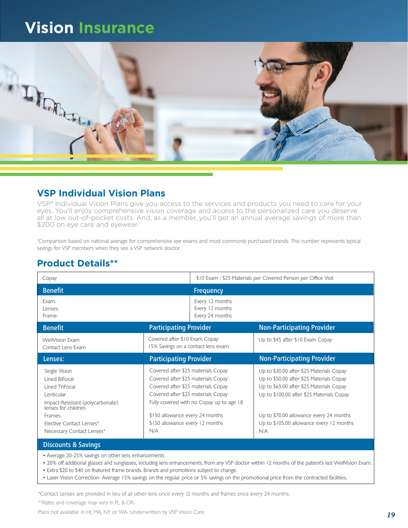## **Vision Insurance**



#### **VSP Individual Vision Plans**

VSP® Individual Vision Plans give you access to the services and products you need to care for your eyes. You'll enjoy comprehensive vision coverage and access to the personalized care you deserve all at low out-of-pocket costs. And, as a member, you'll get an annual average savings of more than \$200 on eye care and eyewear.<sup>1</sup>

1 Comparison based on national average for comprehensive eye exams and most commonly purchased brands. This number represents typical savings for VSP members when they see a VSP network doctor.

#### **Product Details\*\***

| Copay                                                                                                                                                                                        |                                                                                                                                                                                                                                                                               | \$10 Exam / \$25 Materials per Covered Person per Office Visit                                                                                                                                                                                                              |  |
|----------------------------------------------------------------------------------------------------------------------------------------------------------------------------------------------|-------------------------------------------------------------------------------------------------------------------------------------------------------------------------------------------------------------------------------------------------------------------------------|-----------------------------------------------------------------------------------------------------------------------------------------------------------------------------------------------------------------------------------------------------------------------------|--|
| <b>Benefit</b>                                                                                                                                                                               | <b>Frequency</b>                                                                                                                                                                                                                                                              |                                                                                                                                                                                                                                                                             |  |
| Exam:<br>Lenses:<br>Frame:                                                                                                                                                                   | Every 12 months<br>Every 12 months<br>Every 24 months                                                                                                                                                                                                                         |                                                                                                                                                                                                                                                                             |  |
| <b>Benefit</b>                                                                                                                                                                               | <b>Participating Provider</b>                                                                                                                                                                                                                                                 | <b>Non-Participating Provider</b>                                                                                                                                                                                                                                           |  |
| <b>WellVision Exam</b><br>Contact Lens Exam                                                                                                                                                  | Covered after \$10 Exam Copay<br>15% Savings on a contact lens exam                                                                                                                                                                                                           | Up to \$45 after \$10 Exam Copay                                                                                                                                                                                                                                            |  |
| Lenses:                                                                                                                                                                                      | <b>Participating Provider</b>                                                                                                                                                                                                                                                 | <b>Non-Participating Provider</b>                                                                                                                                                                                                                                           |  |
| Single Vision<br>Lined BiFocal<br>Lined TriFocal<br>Lenticular<br>Impact-Resistant (polycarbonate)<br>lenses for children<br>Frames<br>Elective Contact Lenses*<br>Necessary Contact Lenses* | Covered after \$25 materials Copay<br>Covered after \$25 materials Copay<br>Covered after \$25 materials Copay<br>Covered after \$25 materials Copay<br>Fully covered with no Copay up to age 18<br>\$150 allowance every 24 months<br>\$150 allowance every 12 months<br>N/A | Up to \$30.00 after \$25 Materials Copay<br>Up to \$50.00 after \$25 Materials Copay<br>Up to \$65.00 after \$25 Materials Copay<br>Up to \$100.00 after \$25 Materials Copay<br>Up to \$70.00 allowance every 24 months<br>Up to \$105.00 allowance every 12 months<br>N/A |  |
| <b>Discounts &amp; Savings</b>                                                                                                                                                               |                                                                                                                                                                                                                                                                               |                                                                                                                                                                                                                                                                             |  |

**•** Average 20-25% savings on other lens enhancements

**•** 20% off additional glasses and sunglasses, including lens enhancements, from any VSP doctor within 12 months of the patient's last WellVision Exam.

- **•** Extra \$20 to \$40 on featured frame brands. Brands and promotions subject to change.
- **•** Laser Vision Correction- Average 15% savings on the regular price or 5% savings on the promotional price from the contracted facilities.

\*Contact Lenses are provided in lieu of all other lens once every 12 months and frames once every 24 months.

\*\*Rates and coverage may vary in FL & OR.

Plans not available in HI, MA, NY or WA. Underwritten by VSP Vision Care.